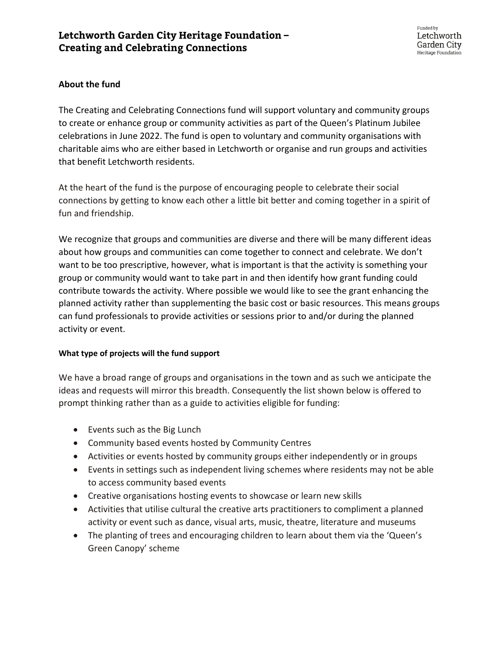# **About the fund**

The Creating and Celebrating Connections fund will support voluntary and community groups to create or enhance group or community activities as part of the Queen's Platinum Jubilee celebrations in June 2022. The fund is open to voluntary and community organisations with charitable aims who are either based in Letchworth or organise and run groups and activities that benefit Letchworth residents.

At the heart of the fund is the purpose of encouraging people to celebrate their social connections by getting to know each other a little bit better and coming together in a spirit of fun and friendship.

We recognize that groups and communities are diverse and there will be many different ideas about how groups and communities can come together to connect and celebrate. We don't want to be too prescriptive, however, what is important is that the activity is something your group or community would want to take part in and then identify how grant funding could contribute towards the activity. Where possible we would like to see the grant enhancing the planned activity rather than supplementing the basic cost or basic resources. This means groups can fund professionals to provide activities or sessions prior to and/or during the planned activity or event.

### **What type of projects will the fund support**

We have a broad range of groups and organisations in the town and as such we anticipate the ideas and requests will mirror this breadth. Consequently the list shown below is offered to prompt thinking rather than as a guide to activities eligible for funding:

- Events such as the Big Lunch
- Community based events hosted by Community Centres
- Activities or events hosted by community groups either independently or in groups
- Events in settings such as independent living schemes where residents may not be able to access community based events
- Creative organisations hosting events to showcase or learn new skills
- Activities that utilise cultural the creative arts practitioners to compliment a planned activity or event such as dance, visual arts, music, theatre, literature and museums
- The planting of trees and encouraging children to learn about them via the 'Queen's Green Canopy' scheme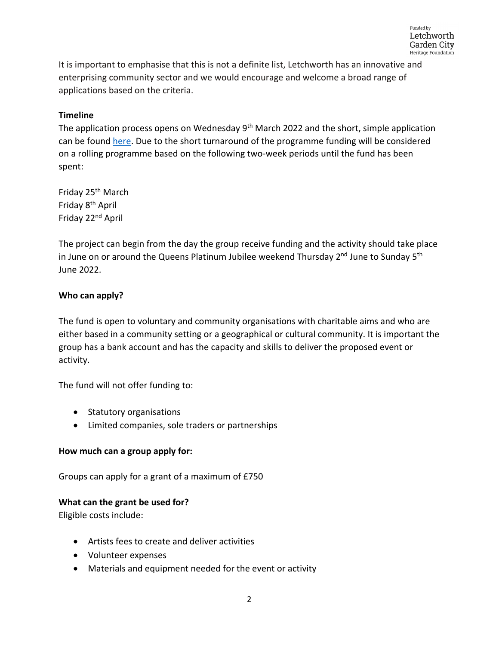It is important to emphasise that this is not a definite list, Letchworth has an innovative and enterprising community sector and we would encourage and welcome a broad range of applications based on the criteria.

# **Timeline**

The application process opens on Wednesday 9<sup>th</sup> March 2022 and the short, simple application can be found [here.](https://www.letchworth.com/sites/default/files/documents/2022-03/Jubilee%20Grants%20App%20Form.docx) Due to the short turnaround of the programme funding will be considered on a rolling programme based on the following two-week periods until the fund has been spent:

Friday 25th March Friday 8th April Friday 22nd April

The project can begin from the day the group receive funding and the activity should take place in June on or around the Queens Platinum Jubilee weekend Thursday  $2<sup>nd</sup>$  June to Sunday  $5<sup>th</sup>$ June 2022.

# **Who can apply?**

The fund is open to voluntary and community organisations with charitable aims and who are either based in a community setting or a geographical or cultural community. It is important the group has a bank account and has the capacity and skills to deliver the proposed event or activity.

The fund will not offer funding to:

- Statutory organisations
- Limited companies, sole traders or partnerships

# **How much can a group apply for:**

Groups can apply for a grant of a maximum of £750

# **What can the grant be used for?**

Eligible costs include:

- Artists fees to create and deliver activities
- Volunteer expenses
- Materials and equipment needed for the event or activity